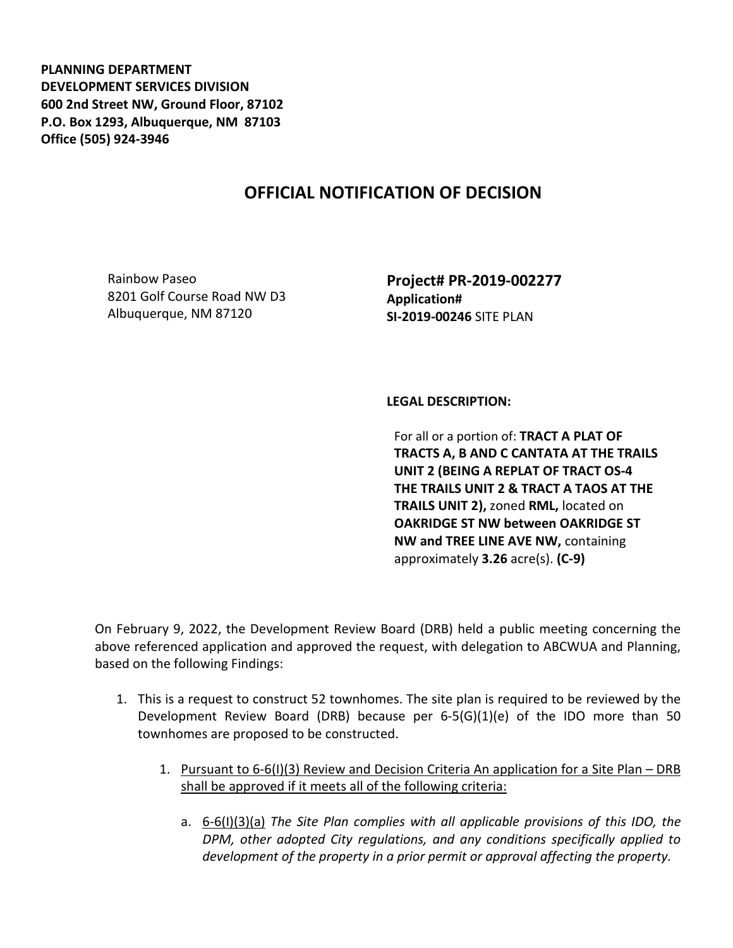**PLANNING DEPARTMENT DEVELOPMENT SERVICES DIVISION 600 2nd Street NW, Ground Floor, 87102 P.O. Box 1293, Albuquerque, NM 87103 Office (505) 924-3946** 

## **OFFICIAL NOTIFICATION OF DECISION**

Rainbow Paseo 8201 Golf Course Road NW D3 Albuquerque, NM 87120

**Project# PR-2019-002277 Application# SI-2019-00246** SITE PLAN

**LEGAL DESCRIPTION:**

For all or a portion of: **TRACT A PLAT OF TRACTS A, B AND C CANTATA AT THE TRAILS UNIT 2 (BEING A REPLAT OF TRACT OS-4 THE TRAILS UNIT 2 & TRACT A TAOS AT THE TRAILS UNIT 2),** zoned **RML,** located on **OAKRIDGE ST NW between OAKRIDGE ST NW and TREE LINE AVE NW,** containing approximately **3.26** acre(s). **(C-9)**

On February 9, 2022, the Development Review Board (DRB) held a public meeting concerning the above referenced application and approved the request, with delegation to ABCWUA and Planning, based on the following Findings:

- 1. This is a request to construct 52 townhomes. The site plan is required to be reviewed by the Development Review Board (DRB) because per 6-5(G)(1)(e) of the IDO more than 50 townhomes are proposed to be constructed.
	- 1. Pursuant to 6-6(I)(3) Review and Decision Criteria An application for a Site Plan DRB shall be approved if it meets all of the following criteria:
		- a. 6-6(I)(3)(a) *The Site Plan complies with all applicable provisions of this IDO, the DPM, other adopted City regulations, and any conditions specifically applied to development of the property in a prior permit or approval affecting the property.*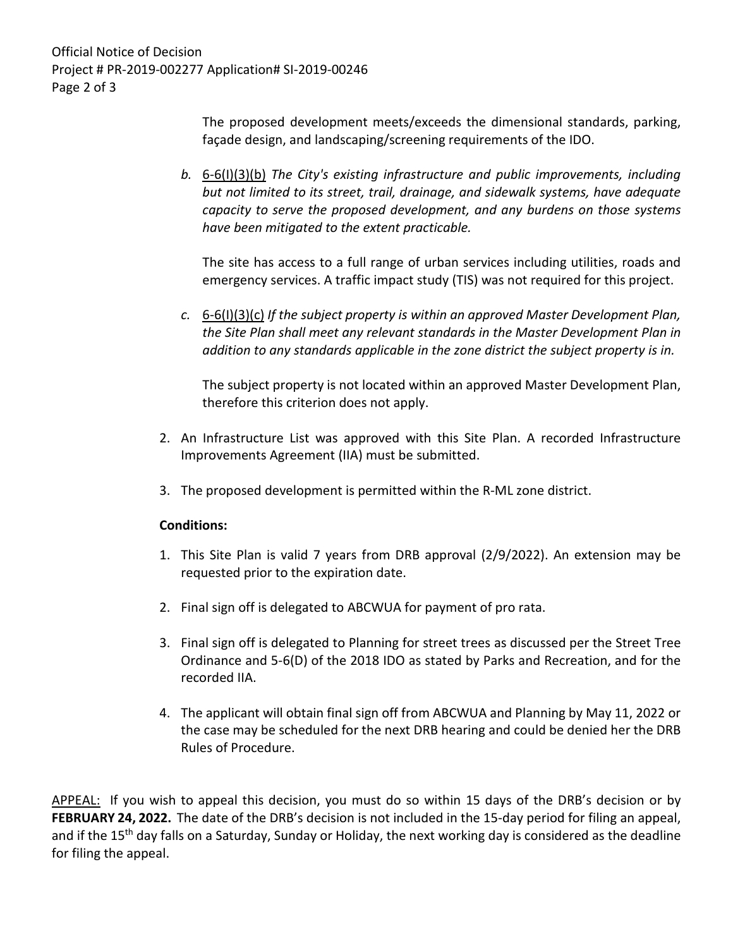Official Notice of Decision Project # PR-2019-002277 Application# SI-2019-00246 Page 2 of 3

> The proposed development meets/exceeds the dimensional standards, parking, façade design, and landscaping/screening requirements of the IDO.

*b.* 6-6(I)(3)(b) *The City's existing infrastructure and public improvements, including but not limited to its street, trail, drainage, and sidewalk systems, have adequate capacity to serve the proposed development, and any burdens on those systems have been mitigated to the extent practicable.* 

The site has access to a full range of urban services including utilities, roads and emergency services. A traffic impact study (TIS) was not required for this project.

*c.* 6-6(I)(3)(c) *If the subject property is within an approved Master Development Plan, the Site Plan shall meet any relevant standards in the Master Development Plan in addition to any standards applicable in the zone district the subject property is in.*

The subject property is not located within an approved Master Development Plan, therefore this criterion does not apply.

- 2. An Infrastructure List was approved with this Site Plan. A recorded Infrastructure Improvements Agreement (IIA) must be submitted.
- 3. The proposed development is permitted within the R-ML zone district.

## **Conditions:**

- 1. This Site Plan is valid 7 years from DRB approval (2/9/2022). An extension may be requested prior to the expiration date.
- 2. Final sign off is delegated to ABCWUA for payment of pro rata.
- 3. Final sign off is delegated to Planning for street trees as discussed per the Street Tree Ordinance and 5-6(D) of the 2018 IDO as stated by Parks and Recreation, and for the recorded IIA.
- 4. The applicant will obtain final sign off from ABCWUA and Planning by May 11, 2022 or the case may be scheduled for the next DRB hearing and could be denied her the DRB Rules of Procedure.

APPEAL: If you wish to appeal this decision, you must do so within 15 days of the DRB's decision or by **FEBRUARY 24, 2022.** The date of the DRB's decision is not included in the 15-day period for filing an appeal, and if the 15<sup>th</sup> day falls on a Saturday, Sunday or Holiday, the next working day is considered as the deadline for filing the appeal.